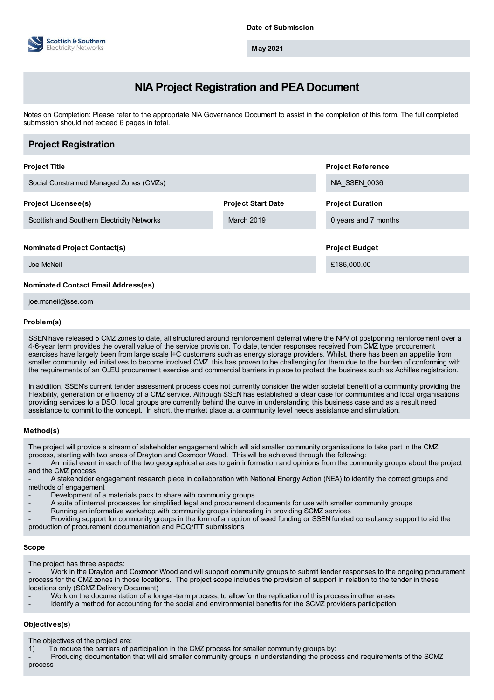

**May 2021**

# **NIA Project Registration and PEA Document**

Notes on Completion: Please refer to the appropriate NIA Governance Document to assist in the completion of this form. The full completed submission should not exceed 6 pages in total.

| <b>Project Registration</b>                |                           |                          |
|--------------------------------------------|---------------------------|--------------------------|
| <b>Project Title</b>                       |                           | <b>Project Reference</b> |
| Social Constrained Managed Zones (CMZs)    |                           | NIA SSEN 0036            |
| <b>Project Licensee(s)</b>                 | <b>Project Start Date</b> | <b>Project Duration</b>  |
| Scottish and Southern Electricity Networks | <b>March 2019</b>         | 0 years and 7 months     |
| <b>Nominated Project Contact(s)</b>        |                           | <b>Project Budget</b>    |
| Joe McNeil                                 |                           | £186,000.00              |
| <b>Nominated Contact Email Address(es)</b> |                           |                          |

joe.mcneil@sse.com

# **Problem(s)**

SSEN have released 5 CMZ zones to date, all structured around reinforcement deferral where the NPV of postponing reinforcement over a 4-6-year term provides the overall value of the service provision. To date, tender responses received from CMZ type procurement exercises have largely been from large scale I+C customers such as energy storage providers. Whilst, there has been an appetite from smaller community led initiatives to become involved CMZ, this has proven to be challenging for them due to the burden of conforming with the requirements of an OJEU procurement exercise and commercial barriers in place to protect the business such as Achilles registration.

In addition, SSEN's current tender assessment process does not currently consider the wider societal benefit of a community providing the Flexibility, generation or efficiency of a CMZ service. Although SSEN has established a clear case for communities and local organisations providing services to a DSO, local groups are currently behind the curve in understanding this business case and as a result need assistance to commit to the concept. In short, the market place at a community level needs assistance and stimulation.

# **Method(s)**

The project will provide a stream of stakeholder engagement which will aid smaller community organisations to take part in the CMZ process, starting with two areas of Drayton and Coxmoor Wood. This will be achieved through the following:

- An initial event in each of the two geographical areas to gain information and opinions from the community groups about the project and the CMZ process

A stakeholder engagement research piece in collaboration with National Energy Action (NEA) to identify the correct groups and methods of engagement

- Development of a materials pack to share with community groups
- A suite of internal processes for simplified legal and procurement documents for use with smaller community groups
- Running an informative workshop with community groups interesting in providing SCMZ services
- Providing support for community groups in the form of an option of seed funding or SSEN funded consultancy support to aid the production of procurement documentation and PQQ/ITT submissions

# **Scope**

The project has three aspects:

- Work in the Drayton and Coxmoor Wood and will support community groups to submit tender responses to the ongoing procurement process for the CMZ zones in those locations. The project scope includes the provision of support in relation to the tender in these locations only (SCMZ Delivery Document)

- Work on the documentation of a longer-term process, to allow for the replication of this process in other areas
- Identify a method for accounting for the social and environmental benefits for the SCMZ providers participation

# **Objectives(s)**

The objectives of the project are:

1) To reduce the barriers of participation in the CMZ process for smaller community groups by:

Producing documentation that will aid smaller community groups in understanding the process and requirements of the SCMZ process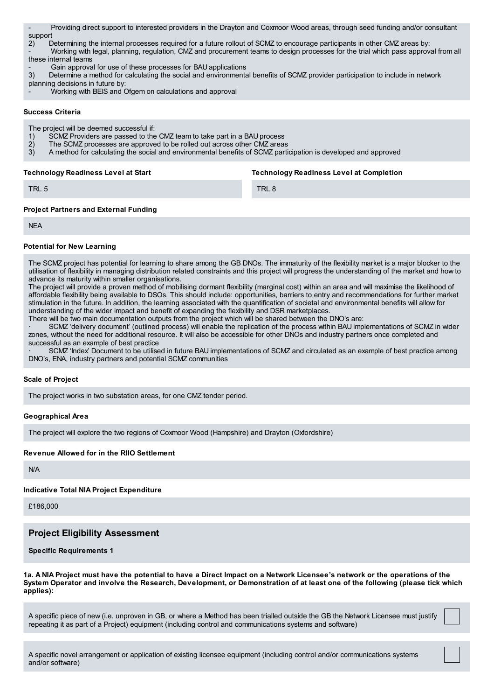- Providing direct support to interested providers in the Drayton and Coxmoor Wood areas, through seed funding and/or consultant support

2) Determining the internal processes required for a future rollout of SCMZ to encourage participants in other CMZ areas by: - Working with legal, planning, regulation, CMZ and procurement teams to design processes for the trial which pass approval from all these internal teams

- Gain approval for use of these processes for BAU applications<br>3) Determine a method for calculating the social and environments

3) Determine a method for calculating the social and environmental benefits of SCMZ provider participation to include in network planning decisions in future by:

Working with BEIS and Ofgem on calculations and approval

#### **Success Criteria**

The project will be deemed successful if:

- 1) SCMZ Providers are passed to the CMZ team to take part in a BAU process<br>2) The SCMZ processes are approved to be rolled out across other CMZ area
- 2) The SCMZ processes are approved to be rolled out across other CMZ areas<br>3) A method for calculating the social and environmental benefits of SCMZ parti
- 3) A method for calculating the social and environmental benefits of SCMZ participation is developed and approved

**Technology Readiness Level at Start**

**Technology Readiness Level at Completion**

TRL 5

TRL 8

# **Project Partners and External Funding**

**NFA** 

# **Potential for New Learning**

The SCMZ project has potential for learning to share among the GB DNOs. The immaturity of the flexibility market is a major blocker to the utilisation of flexibility in managing distribution related constraints and this project will progress the understanding of the market and how to advance its maturity within smaller organisations.

The project will provide a proven method of mobilising dormant flexibility (marginal cost) within an area and will maximise the likelihood of affordable flexibility being available to DSOs. This should include: opportunities, barriers to entry and recommendations for further market stimulation in the future. In addition, the learning associated with the quantification of societal and environmental benefits will allow for understanding of the wider impact and benefit of expanding the flexibility and DSR marketplaces.

There will be two main documentation outputs from the project which will be shared between the DNO's are:

· SCMZ 'delivery document' (outlined process) will enable the replication of the process within BAU implementations of SCMZ in wider zones, without the need for additional resource. It will also be accessible for other DNOs and industry partners once completed and successful as an example of best practice

· SCMZ 'Index' Document to be utilised in future BAU implementations of SCMZ and circulated as an example of best practice among DNO's, ENA, industry partners and potential SCMZ communities

# **Scale of Project**

The project works in two substation areas, for one CMZ tender period.

# **Geographical Area**

The project will explore the two regions of Coxmoor Wood (Hampshire) and Drayton (Oxfordshire)

# **Revenue Allowed for in the RIIO Settlement**

N/A

# **Indicative Total NIA Project Expenditure**

£186,000

# **Project Eligibility Assessment**

**Specific Requirements 1**

1a. A NIA Project must have the potential to have a Direct Impact on a Network Licensee's network or the operations of the System Operator and involve the Research, Development, or Demonstration of at least one of the following (please tick which **applies):**

A specific piece of new (i.e. unproven in GB, or where a Method has been trialled outside the GB the Network Licensee must justify repeating it as part of a Project) equipment (including control and communications systems and software)

A specific novel arrangement or application of existing licensee equipment (including control and/or communications systems and/or software)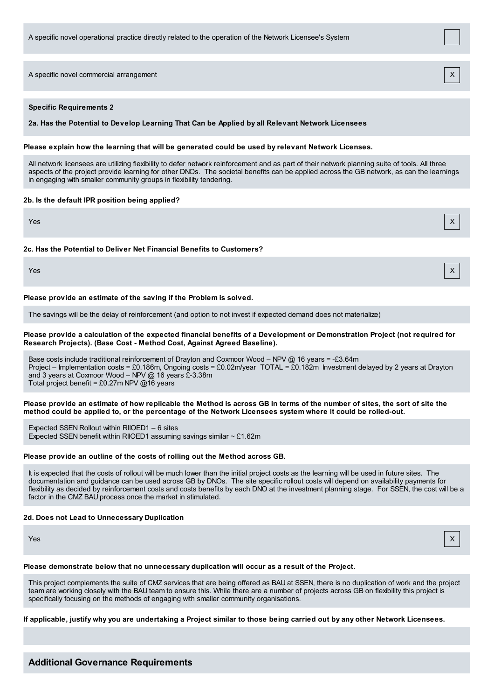A specific novel commercial arrangement

# **Specific Requirements 2**

**2a. Has the Potential to Develop Learning That Can be Applied by all Relevant Network Licensees**

#### **Please explain how the learning that will be generated could be used by relevant Network Licenses.**

All network licensees are utilizing flexibility to defer network reinforcement and as part of their network planning suite of tools. All three aspects of the project provide learning for other DNOs. The societal benefits can be applied across the GB network, as can the learnings in engaging with smaller community groups in flexibility tendering.

#### **2b. Is the default IPR position being applied?**

Yes X

#### **2c. Has the Potential to Deliver Net Financial Benefits to Customers?**

Yes X

#### **Please provide an estimate of the saving if the Problem is solved.**

The savings will be the delay of reinforcement (and option to not invest if expected demand does not materialize)

#### Please provide a calculation of the expected financial benefits of a Development or Demonstration Project (not required for **Research Projects). (Base Cost - Method Cost, Against Agreed Baseline).**

Base costs include traditional reinforcement of Drayton and Coxmoor Wood – NPV @ 16 years = -£3.64m Project – Implementation costs = £0.186m, Ongoing costs = £0.02m/year TOTAL = £0.182m Investment delayed by 2 years at Drayton and 3 years at Coxmoor Wood – NPV @ 16 years £-3.38m Total project benefit = £0.27m NPV @16 years

Please provide an estimate of how replicable the Method is across GB in terms of the number of sites, the sort of site the method could be applied to, or the percentage of the Network Licensees system where it could be rolled-out.

Expected SSEN Rollout within RIIOED1 – 6 sites Expected SSEN benefit within RIIOED1 assuming savings similar  $\sim$  £1.62m

#### **Please provide an outline of the costs of rolling out the Method across GB.**

It is expected that the costs of rollout will be much lower than the initial project costs as the learning will be used in future sites. The documentation and guidance can be used across GB by DNOs. The site specific rollout costs will depend on availability payments for flexibility as decided by reinforcement costs and costs benefits by each DNO at the investment planning stage. For SSEN, the cost will be a factor in the CMZ BAU process once the market in stimulated.

#### **2d. Does not Lead to Unnecessary Duplication**

Yes X

#### **Please demonstrate below that no unnecessary duplication will occur as a result of the Project.**

This project complements the suite of CMZ services that are being offered as BAU at SSEN, there is no duplication of work and the project team are working closely with the BAU team to ensure this. While there are a number of projects across GB on flexibility this project is specifically focusing on the methods of engaging with smaller community organisations.

#### If applicable, justify why you are undertaking a Project similar to those being carried out by any other Network Licensees.

# **Additional Governance Requirements**